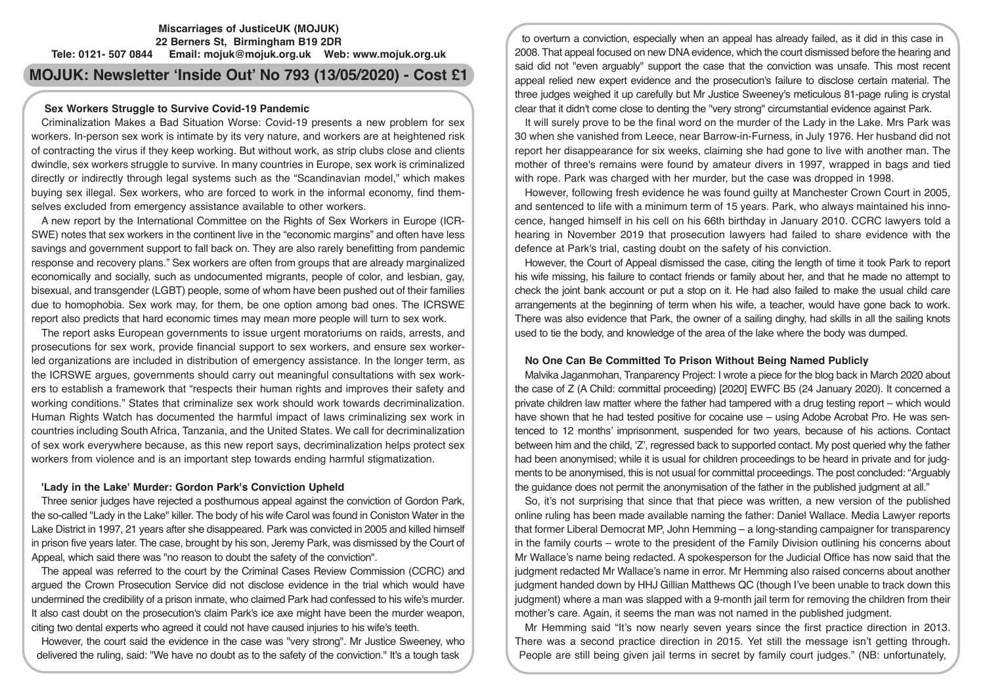# **Miscarriages of JusticeUK (MOJUK) 22 Berners St, Birmingham B19 2DR Tele: 0121- 507 0844 Email: mojuk@mojuk.org.uk Web: www.mojuk.org.uk**

# **MOJUK: Newsletter 'Inside Out' No 793 (13/05/2020) - Cost £1**

## **Sex Workers Struggle to Survive Covid-19 Pandemic**

Criminalization Makes a Bad Situation Worse: Covid-19 presents a new problem for sex workers. In-person sex work is intimate by its very nature, and workers are at heightened risk of contracting the virus if they keep working. But without work, as strip clubs close and clients dwindle, sex workers struggle to survive. In many countries in Europe, sex work is criminalized directly or indirectly through legal systems such as the "Scandinavian model," which makes buying sex illegal. Sex workers, who are forced to work in the informal economy, find themselves excluded from emergency assistance available to other workers.

A new report by the International Committee on the Rights of Sex Workers in Europe (ICR-SWE) notes that sex workers in the continent live in the "economic margins" and often have less savings and government support to fall back on. They are also rarely benefitting from pandemic response and recovery plans." Sex workers are often from groups that are already marginalized economically and socially, such as undocumented migrants, people of color, and lesbian, gay, bisexual, and transgender (LGBT) people, some of whom have been pushed out of their families due to homophobia. Sex work may, for them, be one option among bad ones. The ICRSWE report also predicts that hard economic times may mean more people will turn to sex work.

The report asks European governments to issue urgent moratoriums on raids, arrests, and prosecutions for sex work, provide financial support to sex workers, and ensure sex workerled organizations are included in distribution of emergency assistance. In the longer term, as the ICRSWE argues, governments should carry out meaningful consultations with sex workers to establish a framework that "respects their human rights and improves their safety and working conditions." States that criminalize sex work should work towards decriminalization. Human Rights Watch has documented the harmful impact of laws criminalizing sex work in countries including South Africa, Tanzania, and the United States. We call for decriminalization of sex work everywhere because, as this new report says, decriminalization helps protect sex workers from violence and is an important step towards ending harmful stigmatization.

#### **'Lady in the Lake' Murder: Gordon Park's Conviction Upheld**

Three senior judges have rejected a posthumous appeal against the conviction of Gordon Park, the so-called "Lady in the Lake" killer. The body of his wife Carol was found in Coniston Water in the Lake District in 1997, 21 years after she disappeared. Park was convicted in 2005 and killed himself in prison five years later. The case, brought by his son, Jeremy Park, was dismissed by the Court of Appeal, which said there was "no reason to doubt the safety of the conviction".

The appeal was referred to the court by the Criminal Cases Review Commission (CCRC) and argued the Crown Prosecution Service did not disclose evidence in the trial which would have undermined the credibility of a prison inmate, who claimed Park had confessed to his wife's murder. It also cast doubt on the prosecution's claim Park's ice axe might have been the murder weapon, citing two dental experts who agreed it could not have caused injuries to his wife's teeth.

However, the court said the evidence in the case was "very strong". Mr Justice Sweeney, who delivered the ruling, said: "We have no doubt as to the safety of the conviction." It's a tough task

to overturn a conviction, especially when an appeal has already failed, as it did in this case in 2008. That appeal focused on new DNA evidence, which the court dismissed before the hearing and said did not "even arguably" support the case that the conviction was unsafe. This most recent appeal relied new expert evidence and the prosecution's failure to disclose certain material. The three judges weighed it up carefully but Mr Justice Sweeney's meticulous 81-page ruling is crystal clear that it didn't come close to denting the "very strong" circumstantial evidence against Park.

It will surely prove to be the final word on the murder of the Lady in the Lake. Mrs Park was 30 when she vanished from Leece, near Barrow-in-Furness, in July 1976. Her husband did not report her disappearance for six weeks, claiming she had gone to live with another man. The mother of three's remains were found by amateur divers in 1997, wrapped in bags and tied with rope. Park was charged with her murder, but the case was dropped in 1998.

However, following fresh evidence he was found guilty at Manchester Crown Court in 2005, and sentenced to life with a minimum term of 15 years. Park, who always maintained his innocence, hanged himself in his cell on his 66th birthday in January 2010. CCRC lawyers told a hearing in November 2019 that prosecution lawyers had failed to share evidence with the defence at Park's trial, casting doubt on the safety of his conviction.

However, the Court of Appeal dismissed the case, citing the length of time it took Park to report his wife missing, his failure to contact friends or family about her, and that he made no attempt to check the joint bank account or put a stop on it. He had also failed to make the usual child care arrangements at the beginning of term when his wife, a teacher, would have gone back to work. There was also evidence that Park, the owner of a sailing dinghy, had skills in all the sailing knots used to tie the body, and knowledge of the area of the lake where the body was dumped.

#### **No One Can Be Committed To Prison Without Being Named Publicly**

Malvika Jaganmohan, Tranparency Project: I wrote a piece for the blog back in March 2020 about the case of Z (A Child: committal proceeding) [2020] EWFC B5 (24 January 2020). It concerned a private children law matter where the father had tampered with a drug testing report – which would have shown that he had tested positive for cocaine use – using Adobe Acrobat Pro. He was sentenced to 12 months' imprisonment, suspended for two years, because of his actions. Contact between him and the child, 'Z', regressed back to supported contact. My post queried why the father had been anonymised; while it is usual for children proceedings to be heard in private and for judgments to be anonymised, this is not usual for committal proceedings. The post concluded: "Arguably the guidance does not permit the anonymisation of the father in the published judgment at all."

So, it's not surprising that since that that piece was written, a new version of the published online ruling has been made available naming the father: Daniel Wallace. Media Lawyer reports that former Liberal Democrat MP, John Hemming – a long-standing campaigner for transparency in the family courts – wrote to the president of the Family Division outlining his concerns about Mr Wallace's name being redacted. A spokesperson for the Judicial Office has now said that the judgment redacted Mr Wallace's name in error. Mr Hemming also raised concerns about another judgment handed down by HHJ Gillian Matthews QC (though I've been unable to track down this judgment) where a man was slapped with a 9-month jail term for removing the children from their mother's care. Again, it seems the man was not named in the published judgment.

Mr Hemming said "It's now nearly seven years since the first practice direction in 2013. There was a second practice direction in 2015. Yet still the message isn't getting through. People are still being given jail terms in secret by family court judges." (NB: unfortunately,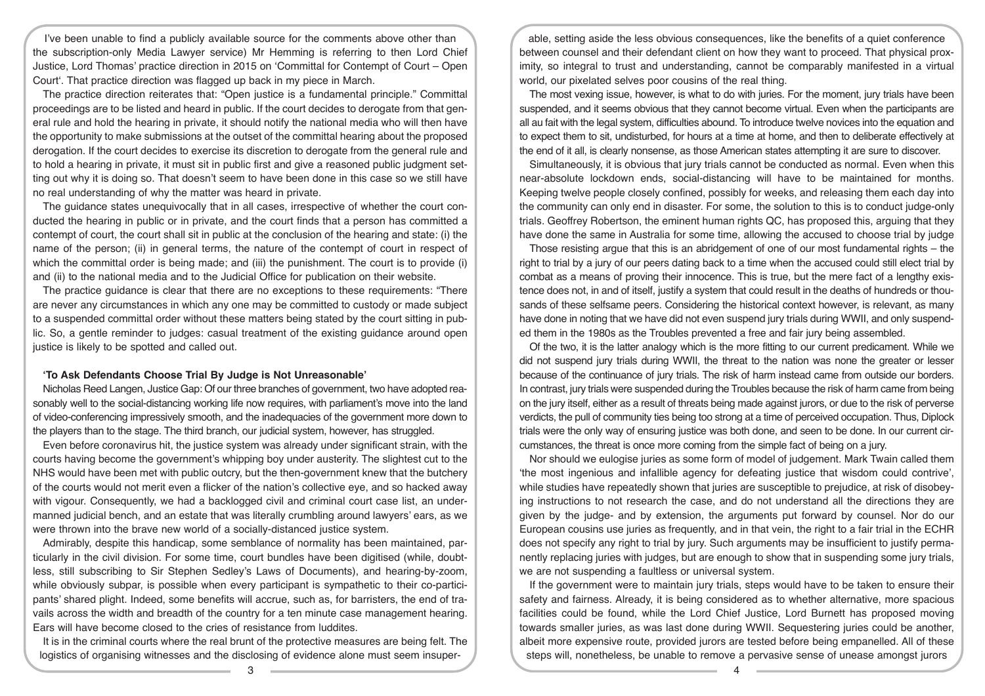I've been unable to find a publicly available source for the comments above other than the subscription-only Media Lawyer service) Mr Hemming is referring to then Lord Chief Justice, Lord Thomas' practice direction in 2015 on 'Committal for Contempt of Court – Open Court'. That practice direction was flagged up back in my piece in March.

The practice direction reiterates that: "Open justice is a fundamental principle." Committal proceedings are to be listed and heard in public. If the court decides to derogate from that general rule and hold the hearing in private, it should notify the national media who will then have the opportunity to make submissions at the outset of the committal hearing about the proposed derogation. If the court decides to exercise its discretion to derogate from the general rule and to hold a hearing in private, it must sit in public first and give a reasoned public judgment setting out why it is doing so. That doesn't seem to have been done in this case so we still have no real understanding of why the matter was heard in private.

The guidance states unequivocally that in all cases, irrespective of whether the court conducted the hearing in public or in private, and the court finds that a person has committed a contempt of court, the court shall sit in public at the conclusion of the hearing and state: (i) the name of the person; (ii) in general terms, the nature of the contempt of court in respect of which the committal order is being made; and (iii) the punishment. The court is to provide (i) and (ii) to the national media and to the Judicial Office for publication on their website.

The practice guidance is clear that there are no exceptions to these requirements: "There are never any circumstances in which any one may be committed to custody or made subject to a suspended committal order without these matters being stated by the court sitting in public. So, a gentle reminder to judges: casual treatment of the existing guidance around open justice is likely to be spotted and called out.

#### **'To Ask Defendants Choose Trial By Judge is Not Unreasonable'**

Nicholas Reed Langen, Justice Gap: Of our three branches of government, two have adopted reasonably well to the social-distancing working life now requires, with parliament's move into the land of video-conferencing impressively smooth, and the inadequacies of the government more down to the players than to the stage. The third branch, our judicial system, however, has struggled.

Even before coronavirus hit, the justice system was already under significant strain, with the courts having become the government's whipping boy under austerity. The slightest cut to the NHS would have been met with public outcry, but the then-government knew that the butchery of the courts would not merit even a flicker of the nation's collective eye, and so hacked away with vigour. Consequently, we had a backlogged civil and criminal court case list, an undermanned judicial bench, and an estate that was literally crumbling around lawyers' ears, as we were thrown into the brave new world of a socially-distanced justice system.

Admirably, despite this handicap, some semblance of normality has been maintained, particularly in the civil division. For some time, court bundles have been digitised (while, doubtless, still subscribing to Sir Stephen Sedley's Laws of Documents), and hearing-by-zoom, while obviously subpar, is possible when every participant is sympathetic to their co-participants' shared plight. Indeed, some benefits will accrue, such as, for barristers, the end of travails across the width and breadth of the country for a ten minute case management hearing. Ears will have become closed to the cries of resistance from luddites.

It is in the criminal courts where the real brunt of the protective measures are being felt. The logistics of organising witnesses and the disclosing of evidence alone must seem insuper-

able, setting aside the less obvious consequences, like the benefits of a quiet conference between counsel and their defendant client on how they want to proceed. That physical proximity, so integral to trust and understanding, cannot be comparably manifested in a virtual world, our pixelated selves poor cousins of the real thing.

The most vexing issue, however, is what to do with juries. For the moment, jury trials have been suspended, and it seems obvious that they cannot become virtual. Even when the participants are all au fait with the legal system, difficulties abound. To introduce twelve novices into the equation and to expect them to sit, undisturbed, for hours at a time at home, and then to deliberate effectively at the end of it all, is clearly nonsense, as those American states attempting it are sure to discover.

Simultaneously, it is obvious that jury trials cannot be conducted as normal. Even when this near-absolute lockdown ends, social-distancing will have to be maintained for months. Keeping twelve people closely confined, possibly for weeks, and releasing them each day into the community can only end in disaster. For some, the solution to this is to conduct judge-only trials. Geoffrey Robertson, the eminent human rights QC, has proposed this, arguing that they have done the same in Australia for some time, allowing the accused to choose trial by judge

Those resisting argue that this is an abridgement of one of our most fundamental rights – the right to trial by a jury of our peers dating back to a time when the accused could still elect trial by combat as a means of proving their innocence. This is true, but the mere fact of a lengthy existence does not, in and of itself, justify a system that could result in the deaths of hundreds or thousands of these selfsame peers. Considering the historical context however, is relevant, as many have done in noting that we have did not even suspend jury trials during WWII, and only suspended them in the 1980s as the Troubles prevented a free and fair jury being assembled.

Of the two, it is the latter analogy which is the more fitting to our current predicament. While we did not suspend jury trials during WWII, the threat to the nation was none the greater or lesser because of the continuance of jury trials. The risk of harm instead came from outside our borders. In contrast, jury trials were suspended during the Troubles because the risk of harm came from being on the jury itself, either as a result of threats being made against jurors, or due to the risk of perverse verdicts, the pull of community ties being too strong at a time of perceived occupation. Thus, Diplock trials were the only way of ensuring justice was both done, and seen to be done. In our current circumstances, the threat is once more coming from the simple fact of being on a jury.

Nor should we eulogise juries as some form of model of judgement. Mark Twain called them 'the most ingenious and infallible agency for defeating justice that wisdom could contrive', while studies have repeatedly shown that juries are susceptible to prejudice, at risk of disobeying instructions to not research the case, and do not understand all the directions they are given by the judge- and by extension, the arguments put forward by counsel. Nor do our European cousins use juries as frequently, and in that vein, the right to a fair trial in the ECHR does not specify any right to trial by jury. Such arguments may be insufficient to justify permanently replacing juries with judges, but are enough to show that in suspending some jury trials, we are not suspending a faultless or universal system.

If the government were to maintain jury trials, steps would have to be taken to ensure their safety and fairness. Already, it is being considered as to whether alternative, more spacious facilities could be found, while the Lord Chief Justice, Lord Burnett has proposed moving towards smaller juries, as was last done during WWII. Sequestering juries could be another, albeit more expensive route, provided jurors are tested before being empanelled. All of these steps will, nonetheless, be unable to remove a pervasive sense of unease amongst jurors

 $\overline{3}$   $\overline{4}$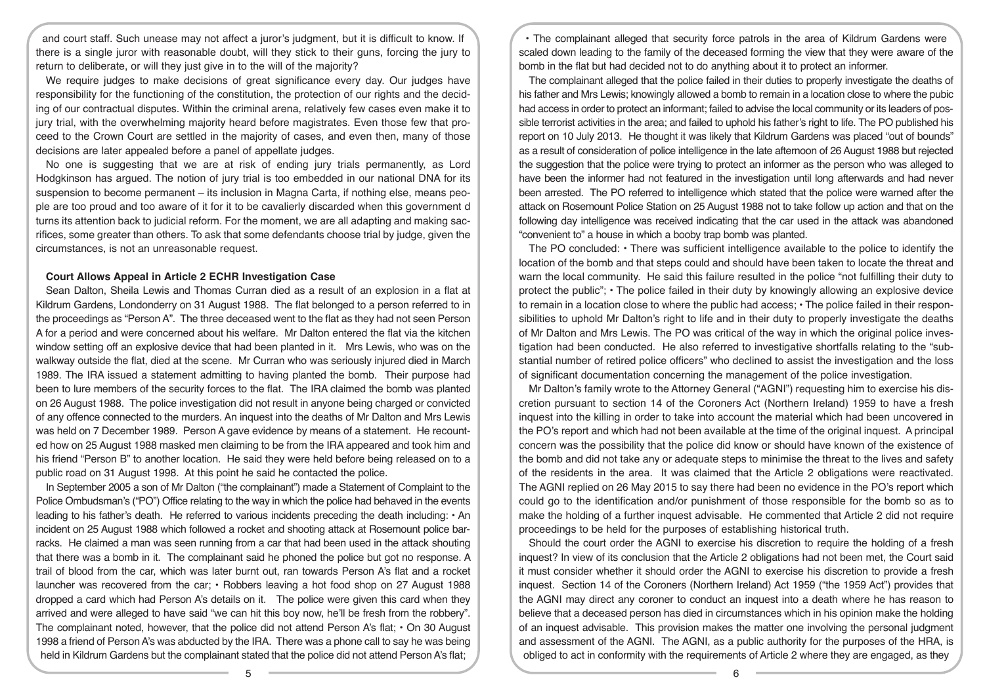and court staff. Such unease may not affect a juror's judgment, but it is difficult to know. If there is a single juror with reasonable doubt, will they stick to their guns, forcing the jury to return to deliberate, or will they just give in to the will of the majority?

We require judges to make decisions of great significance every day. Our judges have responsibility for the functioning of the constitution, the protection of our rights and the deciding of our contractual disputes. Within the criminal arena, relatively few cases even make it to jury trial, with the overwhelming majority heard before magistrates. Even those few that proceed to the Crown Court are settled in the majority of cases, and even then, many of those decisions are later appealed before a panel of appellate judges.

No one is suggesting that we are at risk of ending jury trials permanently, as Lord Hodgkinson has argued. The notion of jury trial is too embedded in our national DNA for its suspension to become permanent – its inclusion in Magna Carta, if nothing else, means people are too proud and too aware of it for it to be cavalierly discarded when this government d turns its attention back to judicial reform. For the moment, we are all adapting and making sacrifices, some greater than others. To ask that some defendants choose trial by judge, given the circumstances, is not an unreasonable request.

## **Court Allows Appeal in Article 2 ECHR Investigation Case**

Sean Dalton, Sheila Lewis and Thomas Curran died as a result of an explosion in a flat at Kildrum Gardens, Londonderry on 31 August 1988. The flat belonged to a person referred to in the proceedings as "Person A". The three deceased went to the flat as they had not seen Person A for a period and were concerned about his welfare. Mr Dalton entered the flat via the kitchen window setting off an explosive device that had been planted in it. Mrs Lewis, who was on the walkway outside the flat, died at the scene. Mr Curran who was seriously injured died in March 1989. The IRA issued a statement admitting to having planted the bomb. Their purpose had been to lure members of the security forces to the flat. The IRA claimed the bomb was planted on 26 August 1988. The police investigation did not result in anyone being charged or convicted of any offence connected to the murders. An inquest into the deaths of Mr Dalton and Mrs Lewis was held on 7 December 1989. Person A gave evidence by means of a statement. He recounted how on 25 August 1988 masked men claiming to be from the IRA appeared and took him and his friend "Person B" to another location. He said they were held before being released on to a public road on 31 August 1998. At this point he said he contacted the police.

In September 2005 a son of Mr Dalton ("the complainant") made a Statement of Complaint to the Police Ombudsman's ("PO") Office relating to the way in which the police had behaved in the events leading to his father's death. He referred to various incidents preceding the death including: • An incident on 25 August 1988 which followed a rocket and shooting attack at Rosemount police barracks. He claimed a man was seen running from a car that had been used in the attack shouting that there was a bomb in it. The complainant said he phoned the police but got no response. A trail of blood from the car, which was later burnt out, ran towards Person A's flat and a rocket launcher was recovered from the car; • Robbers leaving a hot food shop on 27 August 1988 dropped a card which had Person A's details on it. The police were given this card when they arrived and were alleged to have said "we can hit this boy now, he'll be fresh from the robbery". The complainant noted, however, that the police did not attend Person A's flat; • On 30 August 1998 a friend of Person A's was abducted by the IRA. There was a phone call to say he was being held in Kildrum Gardens but the complainant stated that the police did not attend Person A's flat;

• The complainant alleged that security force patrols in the area of Kildrum Gardens were scaled down leading to the family of the deceased forming the view that they were aware of the bomb in the flat but had decided not to do anything about it to protect an informer.

The complainant alleged that the police failed in their duties to properly investigate the deaths of his father and Mrs Lewis; knowingly allowed a bomb to remain in a location close to where the pubic had access in order to protect an informant; failed to advise the local community or its leaders of possible terrorist activities in the area; and failed to uphold his father's right to life. The PO published his report on 10 July 2013. He thought it was likely that Kildrum Gardens was placed "out of bounds" as a result of consideration of police intelligence in the late afternoon of 26 August 1988 but rejected the suggestion that the police were trying to protect an informer as the person who was alleged to have been the informer had not featured in the investigation until long afterwards and had never been arrested. The PO referred to intelligence which stated that the police were warned after the attack on Rosemount Police Station on 25 August 1988 not to take follow up action and that on the following day intelligence was received indicating that the car used in the attack was abandoned "convenient to" a house in which a booby trap bomb was planted.

The PO concluded: • There was sufficient intelligence available to the police to identify the location of the bomb and that steps could and should have been taken to locate the threat and warn the local community. He said this failure resulted in the police "not fulfilling their duty to protect the public"; • The police failed in their duty by knowingly allowing an explosive device to remain in a location close to where the public had access; • The police failed in their responsibilities to uphold Mr Dalton's right to life and in their duty to properly investigate the deaths of Mr Dalton and Mrs Lewis. The PO was critical of the way in which the original police investigation had been conducted. He also referred to investigative shortfalls relating to the "substantial number of retired police officers" who declined to assist the investigation and the loss of significant documentation concerning the management of the police investigation.

Mr Dalton's family wrote to the Attorney General ("AGNI") requesting him to exercise his discretion pursuant to section 14 of the Coroners Act (Northern Ireland) 1959 to have a fresh inquest into the killing in order to take into account the material which had been uncovered in the PO's report and which had not been available at the time of the original inquest. A principal concern was the possibility that the police did know or should have known of the existence of the bomb and did not take any or adequate steps to minimise the threat to the lives and safety of the residents in the area. It was claimed that the Article 2 obligations were reactivated. The AGNI replied on 26 May 2015 to say there had been no evidence in the PO's report which could go to the identification and/or punishment of those responsible for the bomb so as to make the holding of a further inquest advisable. He commented that Article 2 did not require proceedings to be held for the purposes of establishing historical truth.

Should the court order the AGNI to exercise his discretion to require the holding of a fresh inquest? In view of its conclusion that the Article 2 obligations had not been met, the Court said it must consider whether it should order the AGNI to exercise his discretion to provide a fresh inquest. Section 14 of the Coroners (Northern Ireland) Act 1959 ("the 1959 Act") provides that the AGNI may direct any coroner to conduct an inquest into a death where he has reason to believe that a deceased person has died in circumstances which in his opinion make the holding of an inquest advisable. This provision makes the matter one involving the personal judgment and assessment of the AGNI. The AGNI, as a public authority for the purposes of the HRA, is obliged to act in conformity with the requirements of Article 2 where they are engaged, as they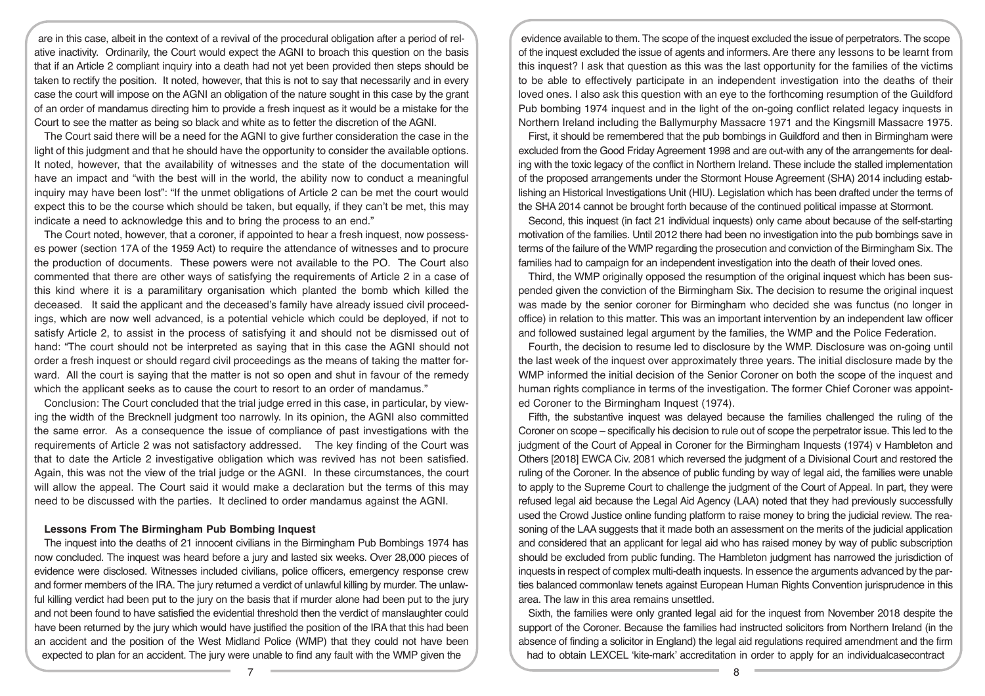are in this case, albeit in the context of a revival of the procedural obligation after a period of relative inactivity. Ordinarily, the Court would expect the AGNI to broach this question on the basis that if an Article 2 compliant inquiry into a death had not yet been provided then steps should be taken to rectify the position. It noted, however, that this is not to say that necessarily and in every case the court will impose on the AGNI an obligation of the nature sought in this case by the grant of an order of mandamus directing him to provide a fresh inquest as it would be a mistake for the Court to see the matter as being so black and white as to fetter the discretion of the AGNI.

The Court said there will be a need for the AGNI to give further consideration the case in the light of this judgment and that he should have the opportunity to consider the available options. It noted, however, that the availability of witnesses and the state of the documentation will have an impact and "with the best will in the world, the ability now to conduct a meaningful inquiry may have been lost": "If the unmet obligations of Article 2 can be met the court would expect this to be the course which should be taken, but equally, if they can't be met, this may indicate a need to acknowledge this and to bring the process to an end."

The Court noted, however, that a coroner, if appointed to hear a fresh inquest, now possesses power (section 17A of the 1959 Act) to require the attendance of witnesses and to procure the production of documents. These powers were not available to the PO. The Court also commented that there are other ways of satisfying the requirements of Article 2 in a case of this kind where it is a paramilitary organisation which planted the bomb which killed the deceased. It said the applicant and the deceased's family have already issued civil proceedings, which are now well advanced, is a potential vehicle which could be deployed, if not to satisfy Article 2, to assist in the process of satisfying it and should not be dismissed out of hand: "The court should not be interpreted as saying that in this case the AGNI should not order a fresh inquest or should regard civil proceedings as the means of taking the matter forward. All the court is saying that the matter is not so open and shut in favour of the remedy which the applicant seeks as to cause the court to resort to an order of mandamus."

Conclusion: The Court concluded that the trial judge erred in this case, in particular, by viewing the width of the Brecknell judgment too narrowly. In its opinion, the AGNI also committed the same error. As a consequence the issue of compliance of past investigations with the requirements of Article 2 was not satisfactory addressed. The key finding of the Court was that to date the Article 2 investigative obligation which was revived has not been satisfied. Again, this was not the view of the trial judge or the AGNI. In these circumstances, the court will allow the appeal. The Court said it would make a declaration but the terms of this may need to be discussed with the parties. It declined to order mandamus against the AGNI.

## **Lessons From The Birmingham Pub Bombing Inquest**

The inquest into the deaths of 21 innocent civilians in the Birmingham Pub Bombings 1974 has now concluded. The inquest was heard before a jury and lasted six weeks. Over 28,000 pieces of evidence were disclosed. Witnesses included civilians, police officers, emergency response crew and former members of the IRA. The jury returned a verdict of unlawful killing by murder. The unlawful killing verdict had been put to the jury on the basis that if murder alone had been put to the jury and not been found to have satisfied the evidential threshold then the verdict of manslaughter could have been returned by the jury which would have justified the position of the IRA that this had been an accident and the position of the West Midland Police (WMP) that they could not have been expected to plan for an accident. The jury were unable to find any fault with the WMP given the

evidence available to them. The scope of the inquest excluded the issue of perpetrators. The scope of the inquest excluded the issue of agents and informers. Are there any lessons to be learnt from this inquest? I ask that question as this was the last opportunity for the families of the victims to be able to effectively participate in an independent investigation into the deaths of their loved ones. I also ask this question with an eye to the forthcoming resumption of the Guildford Pub bombing 1974 inquest and in the light of the on-going conflict related legacy inquests in Northern Ireland including the Ballymurphy Massacre 1971 and the Kingsmill Massacre 1975.

First, it should be remembered that the pub bombings in Guildford and then in Birmingham were excluded from the Good Friday Agreement 1998 and are out-with any of the arrangements for dealing with the toxic legacy of the conflict in Northern Ireland. These include the stalled implementation of the proposed arrangements under the Stormont House Agreement (SHA) 2014 including establishing an Historical Investigations Unit (HIU). Legislation which has been drafted under the terms of the SHA 2014 cannot be brought forth because of the continued political impasse at Stormont.

Second, this inquest (in fact 21 individual inquests) only came about because of the self-starting motivation of the families. Until 2012 there had been no investigation into the pub bombings save in terms of the failure of the WMP regarding the prosecution and conviction of the Birmingham Six. The families had to campaign for an independent investigation into the death of their loved ones.

Third, the WMP originally opposed the resumption of the original inquest which has been suspended given the conviction of the Birmingham Six. The decision to resume the original inquest was made by the senior coroner for Birmingham who decided she was functus (no longer in office) in relation to this matter. This was an important intervention by an independent law officer and followed sustained legal argument by the families, the WMP and the Police Federation.

Fourth, the decision to resume led to disclosure by the WMP. Disclosure was on-going until the last week of the inquest over approximately three years. The initial disclosure made by the WMP informed the initial decision of the Senior Coroner on both the scope of the inquest and human rights compliance in terms of the investigation. The former Chief Coroner was appointed Coroner to the Birmingham Inquest (1974).

Fifth, the substantive inquest was delayed because the families challenged the ruling of the Coroner on scope – specifically his decision to rule out of scope the perpetrator issue. This led to the judgment of the Court of Appeal in Coroner for the Birmingham Inquests (1974) v Hambleton and Others [2018] EWCA Civ. 2081 which reversed the judgment of a Divisional Court and restored the ruling of the Coroner. In the absence of public funding by way of legal aid, the families were unable to apply to the Supreme Court to challenge the judgment of the Court of Appeal. In part, they were refused legal aid because the Legal Aid Agency (LAA) noted that they had previously successfully used the Crowd Justice online funding platform to raise money to bring the judicial review. The reasoning of the LAA suggests that it made both an assessment on the merits of the judicial application and considered that an applicant for legal aid who has raised money by way of public subscription should be excluded from public funding. The Hambleton judgment has narrowed the jurisdiction of inquests in respect of complex multi-death inquests. In essence the arguments advanced by the parties balanced commonlaw tenets against European Human Rights Convention jurisprudence in this area. The law in this area remains unsettled.

Sixth, the families were only granted legal aid for the inquest from November 2018 despite the support of the Coroner. Because the families had instructed solicitors from Northern Ireland (in the absence of finding a solicitor in England) the legal aid regulations required amendment and the firm had to obtain LEXCEL 'kite-mark' accreditation in order to apply for an individualcasecontract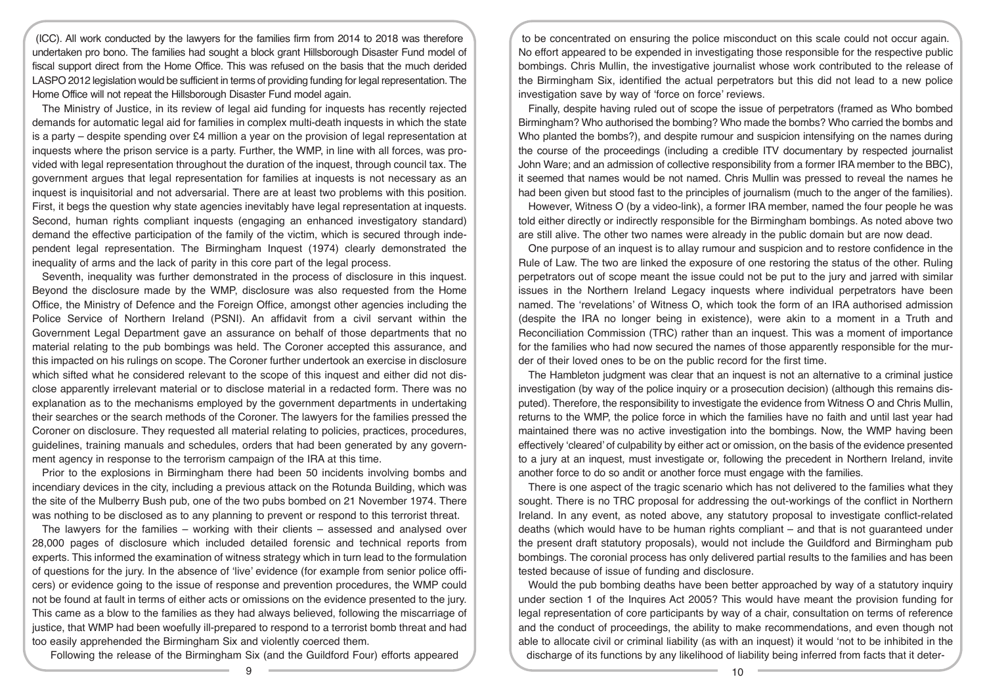(ICC). All work conducted by the lawyers for the families firm from 2014 to 2018 was therefore undertaken pro bono. The families had sought a block grant Hillsborough Disaster Fund model of fiscal support direct from the Home Office. This was refused on the basis that the much derided LASPO 2012 legislation would be sufficient in terms of providing funding for legal representation. The Home Office will not repeat the Hillsborough Disaster Fund model again.

The Ministry of Justice, in its review of legal aid funding for inquests has recently rejected demands for automatic legal aid for families in complex multi-death inquests in which the state is a party – despite spending over £4 million a year on the provision of legal representation at inquests where the prison service is a party. Further, the WMP, in line with all forces, was provided with legal representation throughout the duration of the inquest, through council tax. The government argues that legal representation for families at inquests is not necessary as an inquest is inquisitorial and not adversarial. There are at least two problems with this position. First, it begs the question why state agencies inevitably have legal representation at inquests. Second, human rights compliant inquests (engaging an enhanced investigatory standard) demand the effective participation of the family of the victim, which is secured through independent legal representation. The Birmingham Inquest (1974) clearly demonstrated the inequality of arms and the lack of parity in this core part of the legal process.

Seventh, inequality was further demonstrated in the process of disclosure in this inquest. Beyond the disclosure made by the WMP, disclosure was also requested from the Home Office, the Ministry of Defence and the Foreign Office, amongst other agencies including the Police Service of Northern Ireland (PSNI). An affidavit from a civil servant within the Government Legal Department gave an assurance on behalf of those departments that no material relating to the pub bombings was held. The Coroner accepted this assurance, and this impacted on his rulings on scope. The Coroner further undertook an exercise in disclosure which sifted what he considered relevant to the scope of this inquest and either did not disclose apparently irrelevant material or to disclose material in a redacted form. There was no explanation as to the mechanisms employed by the government departments in undertaking their searches or the search methods of the Coroner. The lawyers for the families pressed the Coroner on disclosure. They requested all material relating to policies, practices, procedures, guidelines, training manuals and schedules, orders that had been generated by any government agency in response to the terrorism campaign of the IRA at this time.

Prior to the explosions in Birmingham there had been 50 incidents involving bombs and incendiary devices in the city, including a previous attack on the Rotunda Building, which was the site of the Mulberry Bush pub, one of the two pubs bombed on 21 November 1974. There was nothing to be disclosed as to any planning to prevent or respond to this terrorist threat.

The lawyers for the families – working with their clients – assessed and analysed over 28,000 pages of disclosure which included detailed forensic and technical reports from experts. This informed the examination of witness strategy which in turn lead to the formulation of questions for the jury. In the absence of 'live' evidence (for example from senior police officers) or evidence going to the issue of response and prevention procedures, the WMP could not be found at fault in terms of either acts or omissions on the evidence presented to the jury. This came as a blow to the families as they had always believed, following the miscarriage of justice, that WMP had been woefully ill-prepared to respond to a terrorist bomb threat and had too easily apprehended the Birmingham Six and violently coerced them.

Following the release of the Birmingham Six (and the Guildford Four) efforts appeared

to be concentrated on ensuring the police misconduct on this scale could not occur again. No effort appeared to be expended in investigating those responsible for the respective public bombings. Chris Mullin, the investigative journalist whose work contributed to the release of the Birmingham Six, identified the actual perpetrators but this did not lead to a new police investigation save by way of 'force on force' reviews.

Finally, despite having ruled out of scope the issue of perpetrators (framed as Who bombed Birmingham? Who authorised the bombing? Who made the bombs? Who carried the bombs and Who planted the bombs?), and despite rumour and suspicion intensifying on the names during the course of the proceedings (including a credible ITV documentary by respected journalist John Ware; and an admission of collective responsibility from a former IRA member to the BBC), it seemed that names would be not named. Chris Mullin was pressed to reveal the names he had been given but stood fast to the principles of journalism (much to the anger of the families).

However, Witness O (by a video-link), a former IRA member, named the four people he was told either directly or indirectly responsible for the Birmingham bombings. As noted above two are still alive. The other two names were already in the public domain but are now dead.

One purpose of an inquest is to allay rumour and suspicion and to restore confidence in the Rule of Law. The two are linked the exposure of one restoring the status of the other. Ruling perpetrators out of scope meant the issue could not be put to the jury and jarred with similar issues in the Northern Ireland Legacy inquests where individual perpetrators have been named. The 'revelations' of Witness O, which took the form of an IRA authorised admission (despite the IRA no longer being in existence), were akin to a moment in a Truth and Reconciliation Commission (TRC) rather than an inquest. This was a moment of importance for the families who had now secured the names of those apparently responsible for the murder of their loved ones to be on the public record for the first time.

The Hambleton judgment was clear that an inquest is not an alternative to a criminal justice investigation (by way of the police inquiry or a prosecution decision) (although this remains disputed). Therefore, the responsibility to investigate the evidence from Witness O and Chris Mullin, returns to the WMP, the police force in which the families have no faith and until last year had maintained there was no active investigation into the bombings. Now, the WMP having been effectively 'cleared' of culpability by either act or omission, on the basis of the evidence presented to a jury at an inquest, must investigate or, following the precedent in Northern Ireland, invite another force to do so andit or another force must engage with the families.

There is one aspect of the tragic scenario which has not delivered to the families what they sought. There is no TRC proposal for addressing the out-workings of the conflict in Northern Ireland. In any event, as noted above, any statutory proposal to investigate conflict-related deaths (which would have to be human rights compliant – and that is not guaranteed under the present draft statutory proposals), would not include the Guildford and Birmingham pub bombings. The coronial process has only delivered partial results to the families and has been tested because of issue of funding and disclosure.

Would the pub bombing deaths have been better approached by way of a statutory inquiry under section 1 of the Inquires Act 2005? This would have meant the provision funding for legal representation of core participants by way of a chair, consultation on terms of reference and the conduct of proceedings, the ability to make recommendations, and even though not able to allocate civil or criminal liability (as with an inquest) it would 'not to be inhibited in the discharge of its functions by any likelihood of liability being inferred from facts that it deter-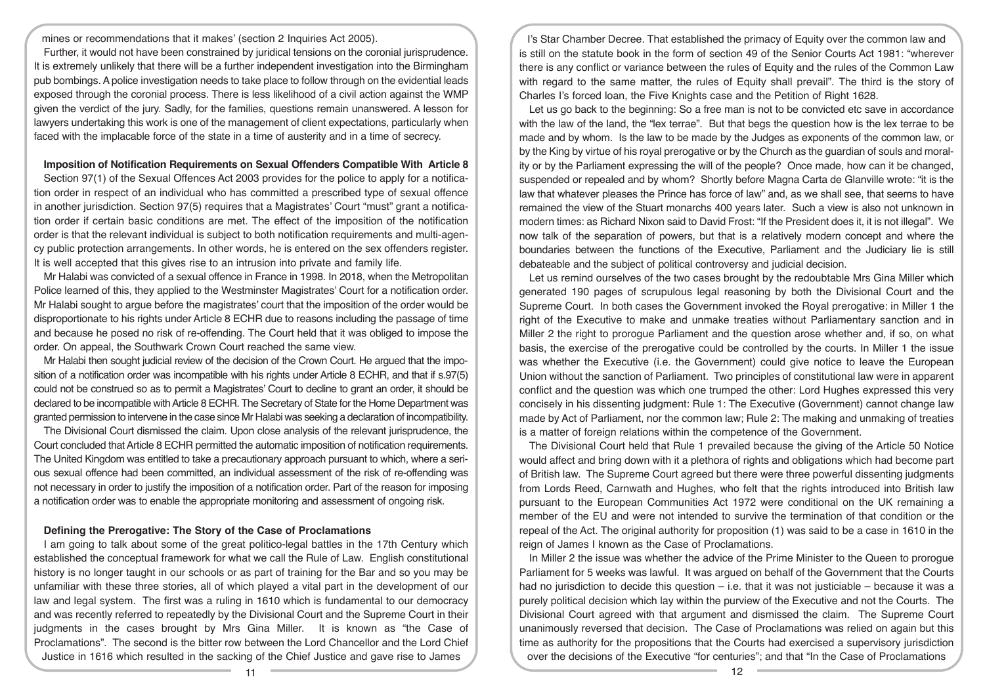mines or recommendations that it makes' (section 2 Inquiries Act 2005).

Further, it would not have been constrained by juridical tensions on the coronial jurisprudence. It is extremely unlikely that there will be a further independent investigation into the Birmingham pub bombings. A police investigation needs to take place to follow through on the evidential leads exposed through the coronial process. There is less likelihood of a civil action against the WMP given the verdict of the jury. Sadly, for the families, questions remain unanswered. A lesson for lawyers undertaking this work is one of the management of client expectations, particularly when faced with the implacable force of the state in a time of austerity and in a time of secrecy.

# **Imposition of Notification Requirements on Sexual Offenders Compatible With Article 8**

Section 97(1) of the Sexual Offences Act 2003 provides for the police to apply for a notification order in respect of an individual who has committed a prescribed type of sexual offence in another jurisdiction. Section 97(5) requires that a Magistrates' Court "must" grant a notification order if certain basic conditions are met. The effect of the imposition of the notification order is that the relevant individual is subject to both notification requirements and multi-agency public protection arrangements. In other words, he is entered on the sex offenders register. It is well accepted that this gives rise to an intrusion into private and family life.

Mr Halabi was convicted of a sexual offence in France in 1998. In 2018, when the Metropolitan Police learned of this, they applied to the Westminster Magistrates' Court for a notification order. Mr Halabi sought to argue before the magistrates' court that the imposition of the order would be disproportionate to his rights under Article 8 ECHR due to reasons including the passage of time and because he posed no risk of re-offending. The Court held that it was obliged to impose the order. On appeal, the Southwark Crown Court reached the same view.

Mr Halabi then sought judicial review of the decision of the Crown Court. He argued that the imposition of a notification order was incompatible with his rights under Article 8 ECHR, and that if s.97(5) could not be construed so as to permit a Magistrates' Court to decline to grant an order, it should be declared to be incompatible with Article 8 ECHR. The Secretary of State for the Home Department was granted permission to intervene in the case since Mr Halabi was seeking a declaration of incompatibility.

The Divisional Court dismissed the claim. Upon close analysis of the relevant jurisprudence, the Court concluded that Article 8 ECHR permitted the automatic imposition of notification requirements. The United Kingdom was entitled to take a precautionary approach pursuant to which, where a serious sexual offence had been committed, an individual assessment of the risk of re-offending was not necessary in order to justify the imposition of a notification order. Part of the reason for imposing a notification order was to enable the appropriate monitoring and assessment of ongoing risk.

# **Defining the Prerogative: The Story of the Case of Proclamations**

I am going to talk about some of the great politico-legal battles in the 17th Century which established the conceptual framework for what we call the Rule of Law. English constitutional history is no longer taught in our schools or as part of training for the Bar and so you may be unfamiliar with these three stories, all of which played a vital part in the development of our law and legal system. The first was a ruling in 1610 which is fundamental to our democracy and was recently referred to repeatedly by the Divisional Court and the Supreme Court in their judgments in the cases brought by Mrs Gina Miller. It is known as "the Case of Proclamations". The second is the bitter row between the Lord Chancellor and the Lord Chief Justice in 1616 which resulted in the sacking of the Chief Justice and gave rise to James

I's Star Chamber Decree. That established the primacy of Equity over the common law and is still on the statute book in the form of section 49 of the Senior Courts Act 1981: "wherever there is any conflict or variance between the rules of Equity and the rules of the Common Law with regard to the same matter, the rules of Equity shall prevail". The third is the story of Charles I's forced loan, the Five Knights case and the Petition of Right 1628.

Let us go back to the beginning: So a free man is not to be convicted etc save in accordance with the law of the land, the "lex terrae". But that begs the question how is the lex terrae to be made and by whom. Is the law to be made by the Judges as exponents of the common law, or by the King by virtue of his royal prerogative or by the Church as the guardian of souls and morality or by the Parliament expressing the will of the people? Once made, how can it be changed, suspended or repealed and by whom? Shortly before Magna Carta de Glanville wrote: "it is the law that whatever pleases the Prince has force of law" and, as we shall see, that seems to have remained the view of the Stuart monarchs 400 years later. Such a view is also not unknown in modern times: as Richard Nixon said to David Frost: "If the President does it, it is not illegal". We now talk of the separation of powers, but that is a relatively modern concept and where the boundaries between the functions of the Executive, Parliament and the Judiciary lie is still debateable and the subject of political controversy and judicial decision.

Let us remind ourselves of the two cases brought by the redoubtable Mrs Gina Miller which generated 190 pages of scrupulous legal reasoning by both the Divisional Court and the Supreme Court. In both cases the Government invoked the Royal prerogative: in Miller 1 the right of the Executive to make and unmake treaties without Parliamentary sanction and in Miller 2 the right to prorogue Parliament and the question arose whether and, if so, on what basis, the exercise of the prerogative could be controlled by the courts. In Miller 1 the issue was whether the Executive (i.e. the Government) could give notice to leave the European Union without the sanction of Parliament. Two principles of constitutional law were in apparent conflict and the question was which one trumped the other: Lord Hughes expressed this very concisely in his dissenting judgment: Rule 1: The Executive (Government) cannot change law made by Act of Parliament, nor the common law; Rule 2: The making and unmaking of treaties is a matter of foreign relations within the competence of the Government.

The Divisional Court held that Rule 1 prevailed because the giving of the Article 50 Notice would affect and bring down with it a plethora of rights and obligations which had become part of British law. The Supreme Court agreed but there were three powerful dissenting judgments from Lords Reed, Carnwath and Hughes, who felt that the rights introduced into British law pursuant to the European Communities Act 1972 were conditional on the UK remaining a member of the EU and were not intended to survive the termination of that condition or the repeal of the Act. The original authority for proposition (1) was said to be a case in 1610 in the reign of James I known as the Case of Proclamations.

In Miller 2 the issue was whether the advice of the Prime Minister to the Queen to prorogue Parliament for 5 weeks was lawful. It was argued on behalf of the Government that the Courts had no jurisdiction to decide this question – i.e. that it was not justiciable – because it was a purely political decision which lay within the purview of the Executive and not the Courts. The Divisional Court agreed with that argument and dismissed the claim. The Supreme Court unanimously reversed that decision. The Case of Proclamations was relied on again but this time as authority for the propositions that the Courts had exercised a supervisory jurisdiction over the decisions of the Executive "for centuries"; and that "In the Case of Proclamations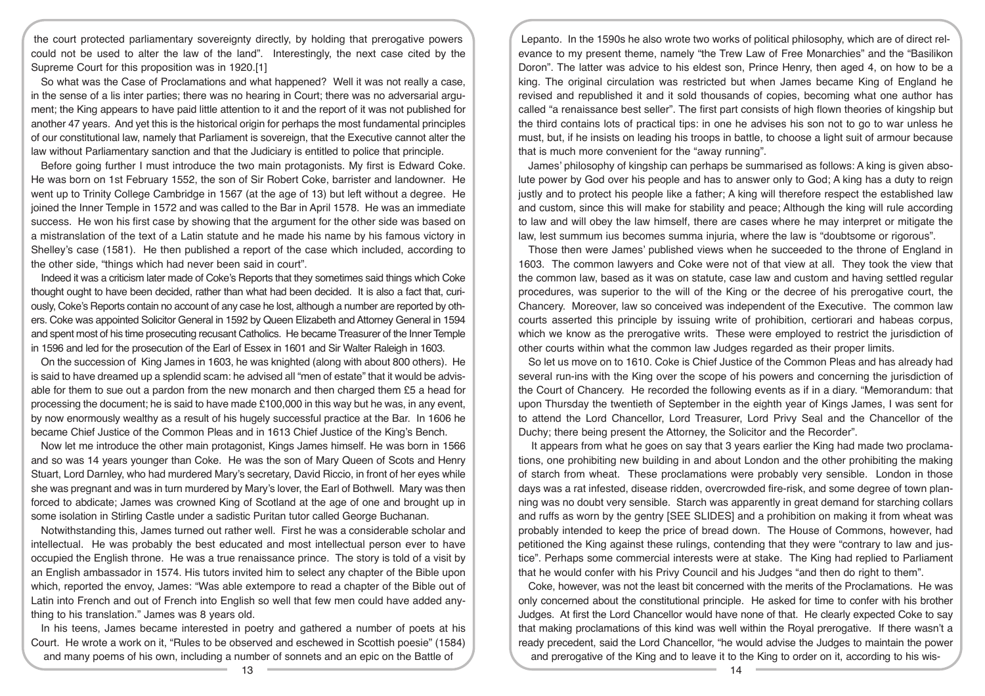the court protected parliamentary sovereignty directly, by holding that prerogative powers could not be used to alter the law of the land". Interestingly, the next case cited by the Supreme Court for this proposition was in 1920.[1]

So what was the Case of Proclamations and what happened? Well it was not really a case, in the sense of a lis inter parties; there was no hearing in Court; there was no adversarial argument; the King appears to have paid little attention to it and the report of it was not published for another 47 years. And yet this is the historical origin for perhaps the most fundamental principles of our constitutional law, namely that Parliament is sovereign, that the Executive cannot alter the law without Parliamentary sanction and that the Judiciary is entitled to police that principle.

Before going further I must introduce the two main protagonists. My first is Edward Coke. He was born on 1st February 1552, the son of Sir Robert Coke, barrister and landowner. He went up to Trinity College Cambridge in 1567 (at the age of 13) but left without a degree. He joined the Inner Temple in 1572 and was called to the Bar in April 1578. He was an immediate success. He won his first case by showing that the argument for the other side was based on a mistranslation of the text of a Latin statute and he made his name by his famous victory in Shelley's case (1581). He then published a report of the case which included, according to the other side, "things which had never been said in court".

Indeed it was a criticism later made of Coke's Reports that they sometimes said things which Coke thought ought to have been decided, rather than what had been decided. It is also a fact that, curiously, Coke's Reports contain no account of any case he lost, although a number are reported by others. Coke was appointed Solicitor General in 1592 by Queen Elizabeth and Attorney General in 1594 and spent most of his time prosecuting recusant Catholics. He became Treasurer of the Inner Temple in 1596 and led for the prosecution of the Earl of Essex in 1601 and Sir Walter Raleigh in 1603.

On the succession of King James in 1603, he was knighted (along with about 800 others). He is said to have dreamed up a splendid scam: he advised all "men of estate" that it would be advisable for them to sue out a pardon from the new monarch and then charged them £5 a head for processing the document; he is said to have made £100,000 in this way but he was, in any event, by now enormously wealthy as a result of his hugely successful practice at the Bar. In 1606 he became Chief Justice of the Common Pleas and in 1613 Chief Justice of the King's Bench.

Now let me introduce the other main protagonist, Kings James himself. He was born in 1566 and so was 14 years younger than Coke. He was the son of Mary Queen of Scots and Henry Stuart, Lord Darnley, who had murdered Mary's secretary, David Riccio, in front of her eyes while she was pregnant and was in turn murdered by Mary's lover, the Earl of Bothwell. Mary was then forced to abdicate; James was crowned King of Scotland at the age of one and brought up in some isolation in Stirling Castle under a sadistic Puritan tutor called George Buchanan.

Notwithstanding this, James turned out rather well. First he was a considerable scholar and intellectual. He was probably the best educated and most intellectual person ever to have occupied the English throne. He was a true renaissance prince. The story is told of a visit by an English ambassador in 1574. His tutors invited him to select any chapter of the Bible upon which, reported the envoy, James: "Was able extempore to read a chapter of the Bible out of Latin into French and out of French into English so well that few men could have added anything to his translation." James was 8 years old.

In his teens, James became interested in poetry and gathered a number of poets at his Court. He wrote a work on it, "Rules to be observed and eschewed in Scottish poesie" (1584) and many poems of his own, including a number of sonnets and an epic on the Battle of

Lepanto. In the 1590s he also wrote two works of political philosophy, which are of direct relevance to my present theme, namely "the Trew Law of Free Monarchies" and the "Basilikon Doron". The latter was advice to his eldest son, Prince Henry, then aged 4, on how to be a king. The original circulation was restricted but when James became King of England he revised and republished it and it sold thousands of copies, becoming what one author has called "a renaissance best seller". The first part consists of high flown theories of kingship but the third contains lots of practical tips: in one he advises his son not to go to war unless he must, but, if he insists on leading his troops in battle, to choose a light suit of armour because that is much more convenient for the "away running".

James' philosophy of kingship can perhaps be summarised as follows: A king is given absolute power by God over his people and has to answer only to God; A king has a duty to reign justly and to protect his people like a father; A king will therefore respect the established law and custom, since this will make for stability and peace; Although the king will rule according to law and will obey the law himself, there are cases where he may interpret or mitigate the law, lest summum ius becomes summa injuria, where the law is "doubtsome or rigorous".

Those then were James' published views when he succeeded to the throne of England in 1603. The common lawyers and Coke were not of that view at all. They took the view that the common law, based as it was on statute, case law and custom and having settled regular procedures, was superior to the will of the King or the decree of his prerogative court, the Chancery. Moreover, law so conceived was independent of the Executive. The common law courts asserted this principle by issuing write of prohibition, certiorari and habeas corpus, which we know as the prerogative writs. These were employed to restrict the jurisdiction of other courts within what the common law Judges regarded as their proper limits.

So let us move on to 1610. Coke is Chief Justice of the Common Pleas and has already had several run-ins with the King over the scope of his powers and concerning the jurisdiction of the Court of Chancery. He recorded the following events as if in a diary. "Memorandum: that upon Thursday the twentieth of September in the eighth year of Kings James, I was sent for to attend the Lord Chancellor, Lord Treasurer, Lord Privy Seal and the Chancellor of the Duchy; there being present the Attorney, the Solicitor and the Recorder".

 It appears from what he goes on say that 3 years earlier the King had made two proclamations, one prohibiting new building in and about London and the other prohibiting the making of starch from wheat. These proclamations were probably very sensible. London in those days was a rat infested, disease ridden, overcrowded fire-risk, and some degree of town planning was no doubt very sensible. Starch was apparently in great demand for starching collars and ruffs as worn by the gentry [SEE SLIDES] and a prohibition on making it from wheat was probably intended to keep the price of bread down. The House of Commons, however, had petitioned the King against these rulings, contending that they were "contrary to law and justice". Perhaps some commercial interests were at stake. The King had replied to Parliament that he would confer with his Privy Council and his Judges "and then do right to them".

Coke, however, was not the least bit concerned with the merits of the Proclamations. He was only concerned about the constitutional principle. He asked for time to confer with his brother Judges. At first the Lord Chancellor would have none of that. He clearly expected Coke to say that making proclamations of this kind was well within the Royal prerogative. If there wasn't a ready precedent, said the Lord Chancellor, "he would advise the Judges to maintain the power and prerogative of the King and to leave it to the King to order on it, according to his wis-